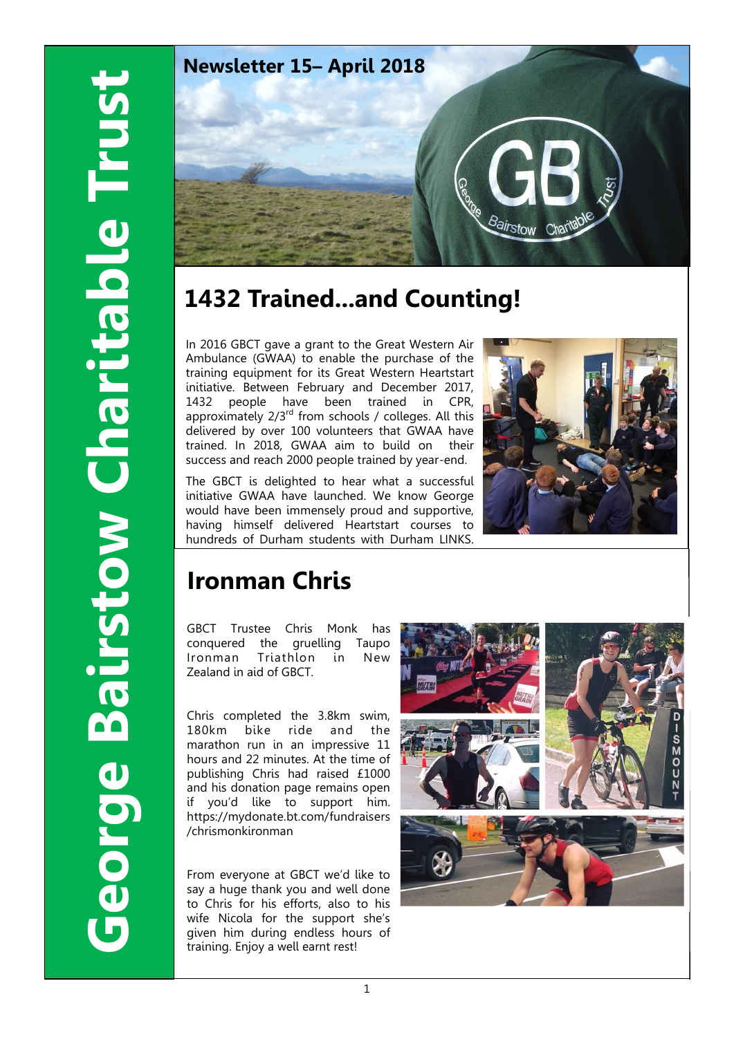

# **1432 Trained...and Counting!**

In 2016 GBCT gave a grant to the Great Western Air Ambulance (GWAA) to enable the purchase of the training equipment for its Great Western Heartstart initiative. Between February and December 2017, 1432 people have been trained in CPR, approximately  $2/3^{rd}$  from schools / colleges. All this delivered by over 100 volunteers that GWAA have trained. In 2018, GWAA aim to build on their success and reach 2000 people trained by year-end.

The GBCT is delighted to hear what a successful initiative GWAA have launched. We know George would have been immensely proud and supportive, having himself delivered Heartstart courses to hundreds of Durham students with Durham LINKS.



# **Ironman Chris**

GBCT Trustee Chris Monk has conquered the gruelling Taupo Ironman Triathlon in New Zealand in aid of GBCT.

Chris completed the 3.8km swim, 180km bike ride and the marathon run in an impressive 11 hours and 22 minutes. At the time of publishing Chris had raised £1000 and his donation page remains open if you'd like to support him. https://mydonate.bt.com/fundraisers /chrismonkironman

From everyone at GBCT we'd like to say a huge thank you and well done to Chris for his efforts, also to his wife Nicola for the support she's given him during endless hours of training. Enjoy a well earnt rest!

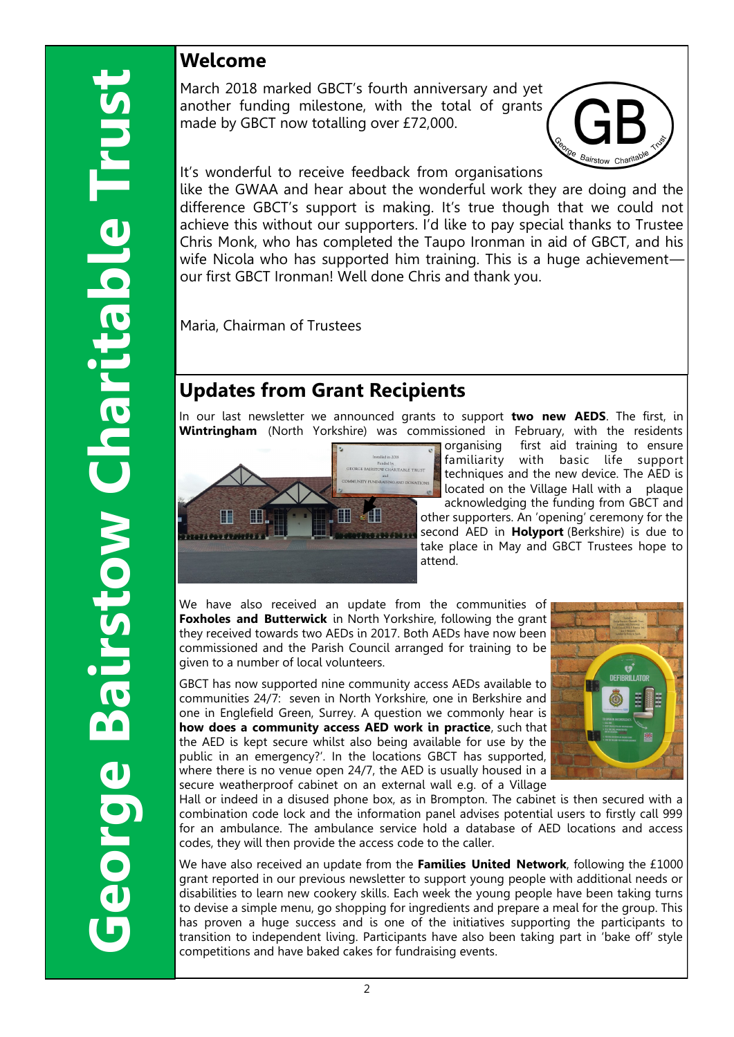### **Welcome**

March 2018 marked GBCT's fourth anniversary and yet another funding milestone, with the total of grants made by GBCT now totalling over £72,000.



It's wonderful to receive feedback from organisations

like the GWAA and hear about the wonderful work they are doing and the difference GBCT's support is making. It's true though that we could not achieve this without our supporters. I'd like to pay special thanks to Trustee Chris Monk, who has completed the Taupo Ironman in aid of GBCT, and his wife Nicola who has supported him training. This is a huge achievementour first GBCT Ironman! Well done Chris and thank you.

Maria, Chairman of Trustees

### **Updates from Grant Recipients**

In our last newsletter we announced grants to support **two new AEDS**. The first, in **Wintringham** (North Yorkshire) was commissioned in February, with the residents



organising first aid training to ensure familiarity with basic life support techniques and the new device. The AED is located on the Village Hall with a plaque acknowledging the funding from GBCT and other supporters. An 'opening' ceremony for the second AED in **Holyport** (Berkshire) is due to take place in May and GBCT Trustees hope to attend.

We have also received an update from the communities of **Foxholes and Butterwick** in North Yorkshire, following the grant they received towards two AEDs in 2017. Both AEDs have now been commissioned and the Parish Council arranged for training to be given to a number of local volunteers.

GBCT has now supported nine community access AEDs available to communities 24/7: seven in North Yorkshire, one in Berkshire and one in Englefield Green, Surrey. A question we commonly hear is **how does a community access AED work in practice**, such that the AED is kept secure whilst also being available for use by the public in an emergency?'. In the locations GBCT has supported, where there is no venue open 24/7, the AED is usually housed in a secure weatherproof cabinet on an external wall e.g. of a Village



Hall or indeed in a disused phone box, as in Brompton. The cabinet is then secured with a combination code lock and the information panel advises potential users to firstly call 999 for an ambulance. The ambulance service hold a database of AED locations and access codes, they will then provide the access code to the caller.

We have also received an update from the **Families United Network**, following the £1000 grant reported in our previous newsletter to support young people with additional needs or disabilities to learn new cookery skills. Each week the young people have been taking turns to devise a simple menu, go shopping for ingredients and prepare a meal for the group. This has proven a huge success and is one of the initiatives supporting the participants to transition to independent living. Participants have also been taking part in 'bake off' style competitions and have baked cakes for fundraising events.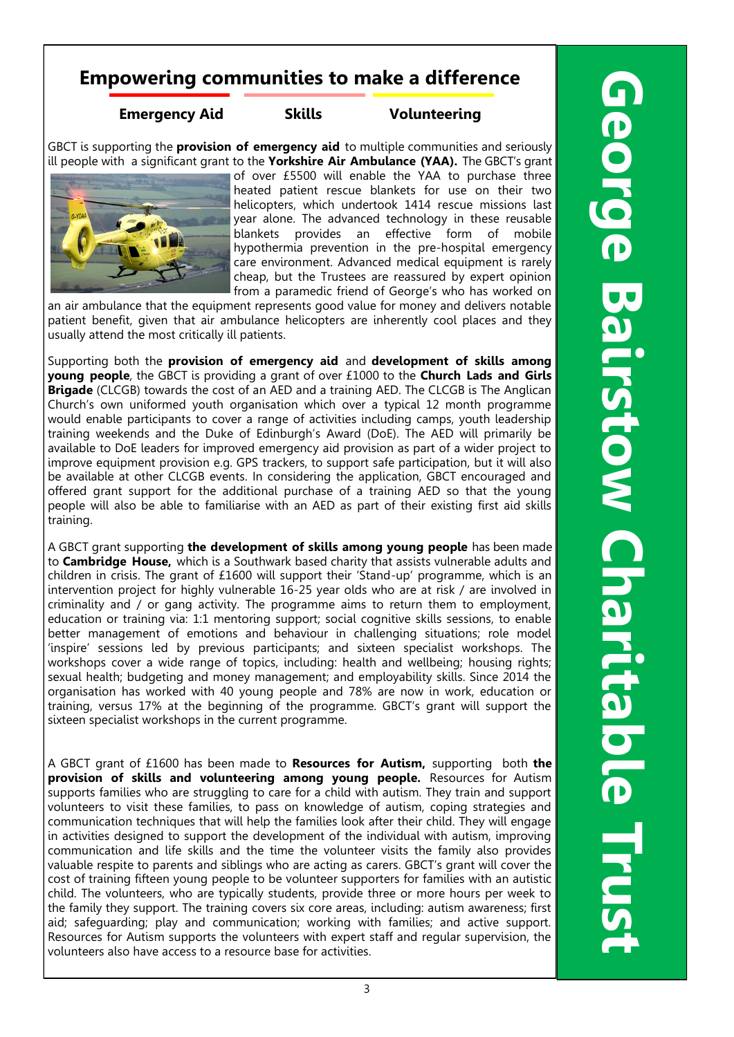### **Empowering communities to make a difference**

**Emergency Aid Skills Volunteering**

GBCT is supporting the **provision of emergency aid** to multiple communities and seriously ill people with a significant grant to the **Yorkshire Air Ambulance (YAA).** The GBCT's grant



of over £5500 will enable the YAA to purchase three heated patient rescue blankets for use on their two helicopters, which undertook 1414 rescue missions last year alone. The advanced technology in these reusable blankets provides an effective form of mobile hypothermia prevention in the pre-hospital emergency care environment. Advanced medical equipment is rarely cheap, but the Trustees are reassured by expert opinion from a paramedic friend of George's who has worked on

an air ambulance that the equipment represents good value for money and delivers notable patient benefit, given that air ambulance helicopters are inherently cool places and they usually attend the most critically ill patients.

Supporting both the **provision of emergency aid** and **development of skills among young people**, the GBCT is providing a grant of over £1000 to the **Church Lads and Girls Brigade** (CLCGB) towards the cost of an AED and a training AED. The CLCGB is The Anglican Church's own uniformed youth organisation which over a typical 12 month programme would enable participants to cover a range of activities including camps, youth leadership training weekends and the Duke of Edinburgh's Award (DoE). The AED will primarily be available to DoE leaders for improved emergency aid provision as part of a wider project to improve equipment provision e.g. GPS trackers, to support safe participation, but it will also be available at other CLCGB events. In considering the application, GBCT encouraged and offered grant support for the additional purchase of a training AED so that the young people will also be able to familiarise with an AED as part of their existing first aid skills training.

A GBCT grant supporting **the development of skills among young people** has been made to **Cambridge House,** which is a Southwark based charity that assists vulnerable adults and children in crisis. The grant of £1600 will support their 'Stand-up' programme, which is an intervention project for highly vulnerable 16-25 year olds who are at risk / are involved in criminality and / or gang activity. The programme aims to return them to employment, education or training via: 1:1 mentoring support; social cognitive skills sessions, to enable better management of emotions and behaviour in challenging situations; role model 'inspire' sessions led by previous participants; and sixteen specialist workshops. The workshops cover a wide range of topics, including: health and wellbeing; housing rights; sexual health; budgeting and money management; and employability skills. Since 2014 the organisation has worked with 40 young people and 78% are now in work, education or training, versus 17% at the beginning of the programme. GBCT's grant will support the sixteen specialist workshops in the current programme.

A GBCT grant of £1600 has been made to **Resources for Autism,** supporting both **the provision of skills and volunteering among young people.** Resources for Autism supports families who are struggling to care for a child with autism. They train and support volunteers to visit these families, to pass on knowledge of autism, coping strategies and communication techniques that will help the families look after their child. They will engage in activities designed to support the development of the individual with autism, improving communication and life skills and the time the volunteer visits the family also provides valuable respite to parents and siblings who are acting as carers. GBCT's grant will cover the cost of training fifteen young people to be volunteer supporters for families with an autistic child. The volunteers, who are typically students, provide three or more hours per week to the family they support. The training covers six core areas, including: autism awareness; first aid; safeguarding; play and communication; working with families; and active support. Resources for Autism supports the volunteers with expert staff and regular supervision, the volunteers also have access to a resource base for activities.